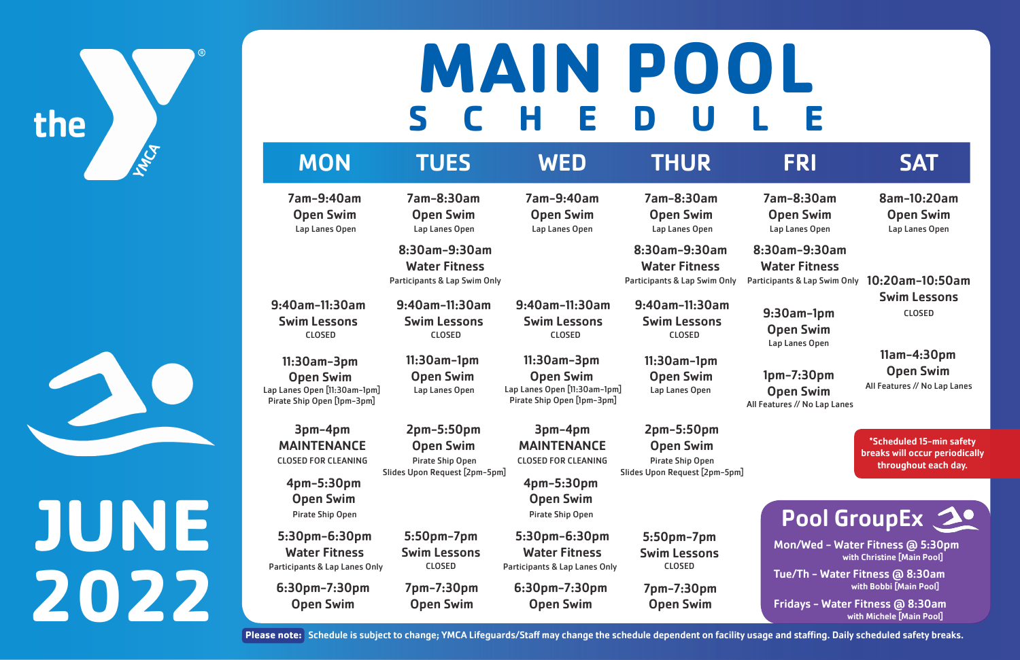# the

# **JUNE 2022**

### MON TUES WED THUR FRI SAT

## **SCHEDULE MAIN POOL**

7am-9:40am

Open Swim

7am-9:40am Open Swim

7am-8:30am Open Swim

5:30pm-6:30pm Water Fitness Participants & Lap Lanes Only CLOSED Participants & Lap Lanes Only 7am-8:30am Open Swim Lap Lanes Open

9:30am-1pm Open Swim Lap Lanes Open

8am-10:20am Open Swim Lap Lanes Open

Participants & Lap Swim Only 10:20am-10:50am Swim Lessons CLOSED

> 11am-4:30pm Open Swim

5:30pm-6:30pm Water Fitness

1pm-7:30pm Open Swim All Features // No Lap Lanes Lap Lanes Open **Chan Swim** All Features // No Lap Lanes

3pm-4pm MAINTENANCE

3pm-4pm MAINTENANCE

5:50pm-7pm Swim Lessons CLOSED

6:30pm-7:30pm Open Swim

7pm-7:30pm Open Swim

6:30pm-7:30pm Open Swim

CLOSED FOR CLEANING **The Pirate Ship Open** CLOSED FOR CLEANING Pirate Ship Open

Water Fitness Participants & Lap Swim Only

8:30am-9:30am Water Fitness Participants & Lap Swim Only 8:30am-9:30am Water Fitness

9:40am-11:30am Swim Lessons CLOSED

7am-8:30am Open Swim 8:30am-9:30am Lap Lanes Open Lap Lanes Open Lap Lanes Open

**Please note:** Schedule is subject to change; YMCA Lifeguards/Staff may change the schedule dependent on facility usage and staffing. Daily scheduled safety breaks.





Mon/Wed - Water Fitness @ 5:30pm with Christine [Main Pool]

with Bobbi [Main Pool] Tue/Th - Water Fitness @ 8:30am

2pm-5:50pm Open Swim Pirate Ship Open Slides Upon Request [2pm-5pm]

> with Michele [Main Pool] Fridays - Water Fitness @ 8:30am

Lap Lanes Open

11:30am-3pm Open Swim Lap Lanes Open [11:30am-1pm] Pirate Ship Open [1pm-3pm]

11:30am-1pm Open Swim Lap Lanes Open

Open Swim Lap Lanes Open [11:30am-1pm] Pirate Ship Open [1pm-3pm]

11:30am-3pm CLOSED

> \*Scheduled 15-min safety breaks will occur periodically throughout each day.

### Pool GroupEx 20

9:40am-11:30am Swim Lessons CLOSED

9:40am-11:30am Swim Lessons

> 2pm-5:50pm Open Swim

5:50pm-7pm Swim Lessons CLOSED

9:40am-11:30am Swim Lessons CLOSED

7pm-7:30pm Open Swim

11:30am-1pm Open Swim

Slides Upon Request [2pm-5pm]

4pm-5:30pm Open Swim

4pm-5:30pm Open Swim Pirate Ship Open Pirate Ship Open